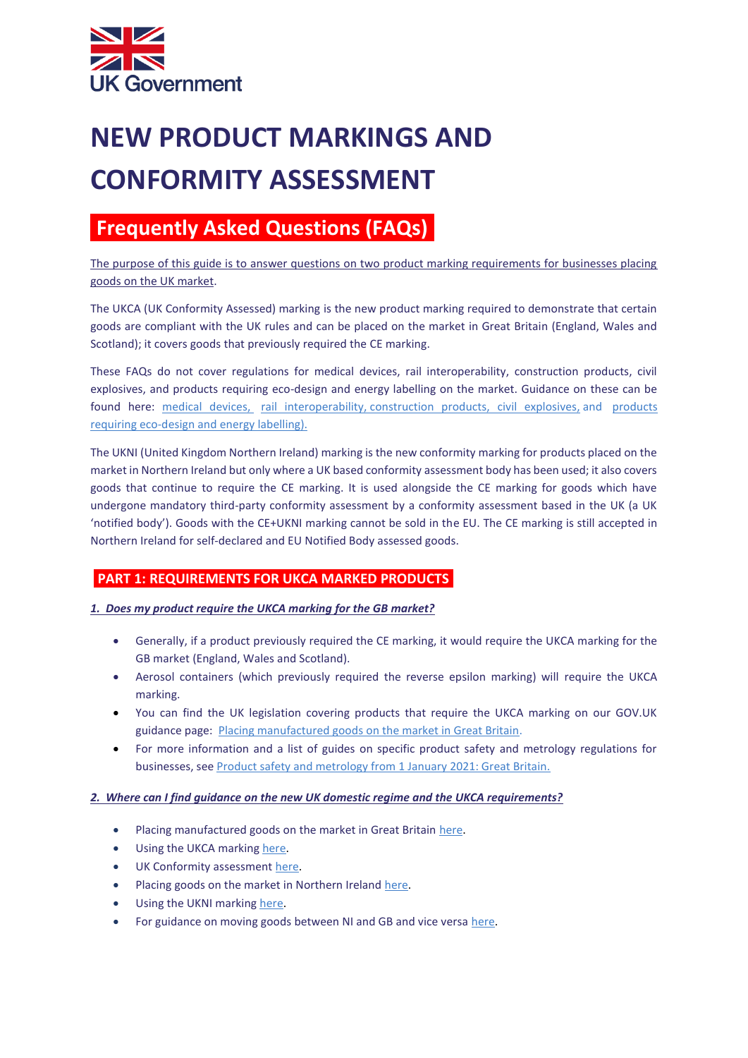

# **NEW PRODUCT MARKINGS AND CONFORMITY ASSESSMENT**

# **IFrequently Asked Questions (FAQs)**

The purpose of this guide is to answer questions on two product marking requirements for businesses placing goods on the UK market.

The UKCA (UK Conformity Assessed) marking is the new product marking required to demonstrate that certain goods are compliant with the UK rules and can be placed on the market in Great Britain (England, Wales and Scotland); it covers goods that previously required the CE marking.

These FAQs do not cover regulations for medical devices, rail interoperability, construction products, civil explosives, and products requiring eco-design and energy labelling on the market. Guidance on these can be found here: [medical devices,](https://www.gov.uk/guidance/regulating-medical-devices-in-the-uk?utm_campaign=transition_p5&utm_medium=organic&utm_source=ogd_beis_eml&utm_content=ukb_act1) [rail interoperability,](https://www.gov.uk/guidance/rail-transport-domestic-and-cross-border-operations?utm_campaign=transition_p5&utm_medium=organic&utm_source=ogd_beis_eml&utm_content=ukb_act1#interoperability-constituents) [construction products,](https://www.gov.uk/guidance/construction-products-regulation-in-great-britain?utm_campaign=transition_p5&utm_medium=organic&utm_source=ogd_beis_eml&utm_content=ukb_act1) [civil explosives,](https://www.hse.gov.uk/brexit/regulating-explosives.htm) and products [requiring eco-design and energy labelling\).](https://www.gov.uk/guidance/placing-energy-related-products-on-the-uk-market?utm_campaign=transition_p5&utm_medium=organic&utm_source=ogd_beis_eml&utm_content=ukb_act1)

The UKNI (United Kingdom Northern Ireland) marking is the new conformity marking for products placed on the market in Northern Ireland but only where a UK based conformity assessment body has been used; it also covers goods that continue to require the CE marking. It is used alongside the CE marking for goods which have undergone mandatory third-party conformity assessment by a conformity assessment based in the UK (a UK 'notified body'). Goods with the CE+UKNI marking cannot be sold in the EU. The CE marking is still accepted in Northern Ireland for self-declared and EU Notified Body assessed goods.

# **PART 1: REQUIREMENTS FOR UKCA MARKED PRODUCTS**

#### *1. Does my product require the UKCA marking for the GB market?*

- Generally, if a product previously required the CE marking, it would require the UKCA marking for the GB market (England, Wales and Scotland).
- Aerosol containers (which previously required the reverse epsilon marking) will require the UKCA marking.
- You can find the UK legislation covering products that require the UKCA marking on our GOV.UK guidance page: [Placing manufactured goods on the market in Great Britain.](https://www.gov.uk/guidance/placing-manufactured-goods-on-the-market-in-great-britain?utm_campaign=transition_p5&utm_medium=&utm_source=ogd_beis_eml&utm_content=ukb_act1)
- For more information and a list of guides on specific product safety and metrology regulations for businesses, see [Product safety and metrology from 1 January 2021: Great Britain.](https://www.gov.uk/guidance/product-safety-for-businesses-a-to-z-of-industry-guidance?utm_campaign=transition_p5&utm_medium=organic&utm_source=ogd_beis_eml&utm_content=ukb_act1)

#### *2. Where can I find guidance on the new UK domestic regime and the UKCA requirements?*

- Placing manufactured goods on the market in Great Britain [here.](https://www.gov.uk/guidance/placing-manufactured-goods-on-the-market-in-great-britain?utm_campaign=transition_p5&utm_medium=&utm_source=ogd_beis_eml&utm_content=ukb_act1)
- Using the UKCA marking [here.](https://www.gov.uk/guidance/using-the-ukca-marking?utm_campaign=transition_p5&utm_medium=organic&utm_source=ogd_beis_eml&utm_content=ukb_act1)
- UK Conformity assessment [here.](https://www.gov.uk/guidance/uk-conformity-assessment?utm_campaign=transition_p5&utm_medium=organic&utm_source=ogd_beis_eml&utm_content=ukb_act1)
- Placing goods on the market in Northern Ireland [here.](https://www.gov.uk/guidance/placing-manufactured-goods-on-the-market-in-northern-ireland?utm_campaign=transition_p5&utm_medium=organic&utm_source=ogd_beis_eml&utm_content=ukb_act1)
- Using the UKNI marking [here.](https://www.gov.uk/guidance/using-the-ukni-marking?utm_campaign=transition_p5&utm_medium=organic&utm_source=ogd_beis_eml&utm_content=ukb_act1)
- For guidance on moving goods between NI and GB and vice versa [here.](https://www.gov.uk/government/collections/moving-goods-into-out-of-or-through-northern-ireland?utm_campaign=transition_p5&utm_medium=organic&utm_source=ogd_beis_eml&utm_content=ukb_act1)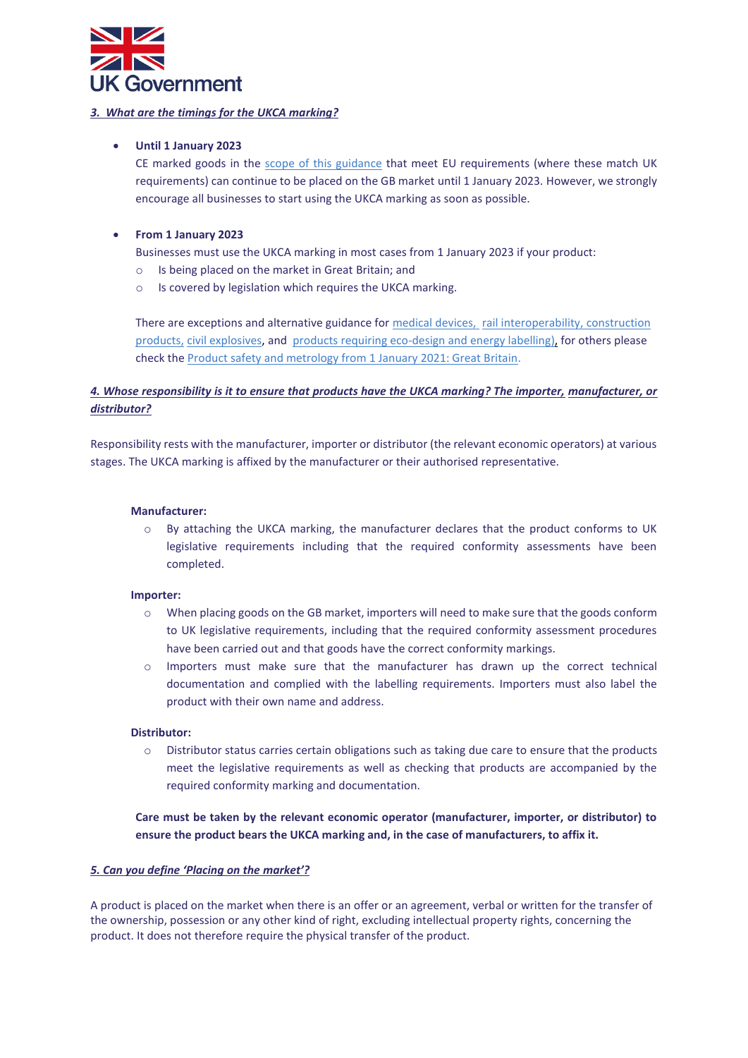

#### *3.**What are the timings for the UKCA marking?*

#### • **Until 1 January 2023**

CE marked goods in the [scope of this guidance](https://www.gov.uk/guidance/using-the-ukca-marking?utm_campaign=transition_p5&utm_medium=organic&utm_source=ogd_beis_eml&utm_content=ukb_act1#more-information) that meet EU requirements (where these match UK requirements) can continue to be placed on the GB market until 1 January 2023. However, we strongly encourage all businesses to start using the UKCA marking as soon as possible.

#### • **From 1 January 2023**

Businesses must use the UKCA marking in most cases from 1 January 2023 if your product:

- o Is being placed on the market in Great Britain; and
- o Is covered by legislation which requires the UKCA marking.

There are exceptions and alternative guidance fo[r medical devices,](https://www.gov.uk/guidance/regulating-medical-devices-in-the-uk?utm_campaign=transition_p5&utm_medium=organic&utm_source=ogd_beis_eml&utm_content=ukb_act1) [rail interoperability,](https://www.gov.uk/guidance/rail-transport-domestic-and-cross-border-operations?utm_campaign=transition_p5&utm_medium=organic&utm_source=ogd_beis_eml&utm_content=ukb_act1#interoperability-constituents) construction [products,](https://www.gov.uk/guidance/construction-products-regulation-in-great-britain?utm_campaign=transition_p5&utm_medium=organic&utm_source=ogd_beis_eml&utm_content=ukb_act1) [civil explosives,](https://www.hse.gov.uk/brexit/regulating-explosives.htm) and [products requiring eco-design and energy labelling\),](https://www.gov.uk/guidance/placing-energy-related-products-on-the-uk-market?utm_campaign=transition_p5&utm_medium=organic&utm_source=ogd_beis_eml&utm_content=ukb_act1) for others please check the [Product safety and metrology from 1 January 2021: Great Britain.](https://www.gov.uk/guidance/product-safety-for-businesses-a-to-z-of-industry-guidance?utm_campaign=transition_p5&utm_medium=organic&utm_source=ogd_beis_eml&utm_content=ukb_act1)

# *4. Whose responsibility is it to ensure that products have the UKCA marking? The importer, manufacturer, or distributor?*

Responsibility rests with the manufacturer, importer or distributor (the relevant economic operators) at various stages. The UKCA marking is affixed by the manufacturer or their authorised representative.

#### **Manufacturer:**

o By attaching the UKCA marking, the manufacturer declares that the product conforms to UK legislative requirements including that the required conformity assessments have been completed.

#### **Importer:**

- $\circ$  When placing goods on the GB market, importers will need to make sure that the goods conform to UK legislative requirements, including that the required conformity assessment procedures have been carried out and that goods have the correct conformity markings.
- o Importers must make sure that the manufacturer has drawn up the correct technical documentation and complied with the labelling requirements. Importers must also label the product with their own name and address.

#### **Distributor:**

 $\circ$  Distributor status carries certain obligations such as taking due care to ensure that the products meet the legislative requirements as well as checking that products are accompanied by the required conformity marking and documentation.

**Care must be taken by the relevant economic operator (manufacturer, importer, or distributor) to ensure the product bears the UKCA marking and, in the case of manufacturers, to affix it.**

#### *5. Can you define 'Placing on the market'?*

A product is placed on the market when there is an offer or an agreement, verbal or written for the transfer of the ownership, possession or any other kind of right, excluding intellectual property rights, concerning the product. It does not therefore require the physical transfer of the product.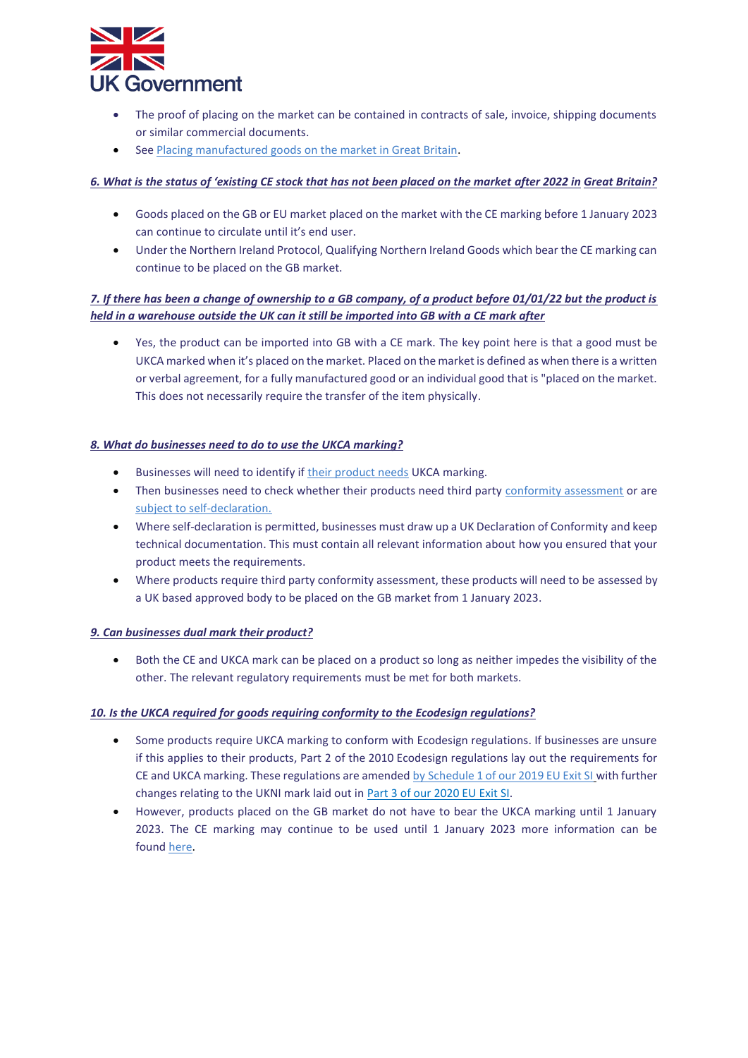

- The proof of placing on the market can be contained in contracts of sale, invoice, shipping documents or similar commercial documents.
- See [Placing manufactured goods on the market in Great Britain.](https://www.gov.uk/guidance/placing-manufactured-goods-on-the-market-in-great-britain?utm_campaign=transition_p5&utm_medium=&utm_source=ogd_beis_eml&utm_content=ukb_act1)

#### *6. What is the status of 'existing CE stock that has not been placed on the market after 2022 in Great Britain?*

- Goods placed on the GB or EU market placed on the market with the CE marking before 1 January 2023 can continue to circulate until it's end user.
- Under the Northern Ireland Protocol, Qualifying Northern Ireland Goods which bear the CE marking can continue to be placed on the GB market.

#### *7. If there has been a change of ownership to a GB company, of a product before 01/01/22 but the product is held in a warehouse outside the UK can it still be imported into GB with a CE mark after*

• Yes, the product can be imported into GB with a CE mark. The key point here is that a good must be UKCA marked when it's placed on the market. Placed on the market is defined as when there is a written or verbal agreement, for a fully manufactured good or an individual good that is "placed on the market. This does not necessarily require the transfer of the item physically.

#### *8. What do businesses need to do to use the UKCA marking?*

- Businesses will need to identify if thei[r product needs](https://www.gov.uk/guidance/product-safety-for-businesses-a-to-z-of-industry-guidance) UKCA marking.
- Then businesses need to check whether their products need third party [conformity assessment](https://www.gov.uk/guidance/uk-conformity-assessment?utm_campaign=transition_p5&utm_medium=organic&utm_source=ogd_beis_eml&utm_content=ukb_act1) or are [subject to self-declaration.](https://www.gov.uk/guidance/placing-manufactured-goods-on-the-market-in-great-britain?utm_campaign=transition_p5&utm_medium=organic&utm_source=ogd_beis_eml&utm_content=ukb_act1#more-information)
- Where self-declaration is permitted, businesses must draw up a UK Declaration of Conformity and keep technical documentation. This must contain all relevant information about how you ensured that your product meets the requirements.
- Where products require third party conformity assessment, these products will need to be assessed by a UK based approved body to be placed on the GB market from 1 January 2023.

#### *9. Can businesses dual mark their product?*

• Both the CE and UKCA mark can be placed on a product so long as neither impedes the visibility of the other. The relevant regulatory requirements must be met for both markets.

#### *10. Is the UKCA required for goods requiring conformity to the Ecodesign regulations?*

- Some products require UKCA marking to conform with Ecodesign regulations. If businesses are unsure if this applies to their products, Part 2 of the 2010 Ecodesign [regulations](https://eur02.safelinks.protection.outlook.com/?url=https%3A%2F%2Fwww.legislation.gov.uk%2Fuksi%2F2010%2F2617%2Fcontents%2Fmade&data=04%7C01%7CSharon.Purackal%40beis.gov.uk%7C9da3109188094c737a7408d93d3706f9%7Ccbac700502c143ebb497e6492d1b2dd8%7C0%7C0%7C637608128805810033%7CUnknown%7CTWFpbGZsb3d8eyJWIjoiMC4wLjAwMDAiLCJQIjoiV2luMzIiLCJBTiI6Ik1haWwiLCJXVCI6Mn0%3D%7C1000&sdata=g3e3OHTwk52Y%2FFcOlMXMBwQi9KS7EtMFrxcuaztNYpA%3D&reserved=0) lay out the requirements for CE and UKCA marking. These regulations are amended by [Schedule 1 of our 2019 EU Exit SI](https://eur02.safelinks.protection.outlook.com/?url=https%3A%2F%2Fwww.legislation.gov.uk%2Fuksi%2F2020%2F1528%2Fpart%2F3%2Fmade&data=04%7C01%7CSharon.Purackal%40beis.gov.uk%7C9da3109188094c737a7408d93d3706f9%7Ccbac700502c143ebb497e6492d1b2dd8%7C0%7C0%7C637608128805819984%7CUnknown%7CTWFpbGZsb3d8eyJWIjoiMC4wLjAwMDAiLCJQIjoiV2luMzIiLCJBTiI6Ik1haWwiLCJXVCI6Mn0%3D%7C1000&sdata=APpXCKQL8YO8xq%2BN6FL6XzGe8OSx8Kn4h4w%2F80y1vhY%3D&reserved=0) with further changes relating to the UKNI mark laid out in [Part 3 of our 2020 EU Exit SI.](https://eur02.safelinks.protection.outlook.com/?url=https%3A%2F%2Fwww.legislation.gov.uk%2Fuksi%2F2020%2F1528%2Fpart%2F3%2Fmade&data=04%7C01%7CSharon.Purackal%40beis.gov.uk%7C9da3109188094c737a7408d93d3706f9%7Ccbac700502c143ebb497e6492d1b2dd8%7C0%7C0%7C637608128805819984%7CUnknown%7CTWFpbGZsb3d8eyJWIjoiMC4wLjAwMDAiLCJQIjoiV2luMzIiLCJBTiI6Ik1haWwiLCJXVCI6Mn0%3D%7C1000&sdata=APpXCKQL8YO8xq%2BN6FL6XzGe8OSx8Kn4h4w%2F80y1vhY%3D&reserved=0)
- However, products placed on the GB market do not have to bear the UKCA marking until 1 January 2023. The CE marking may continue to be used until 1 January 2023 more information can be found [here.](https://eur02.safelinks.protection.outlook.com/?url=https%3A%2F%2Fwww.gov.uk%2Fguidance%2Fusing-the-ukca-marking%23when-to-use-the-ukca-marking&data=04%7C01%7CSharon.Purackal%40beis.gov.uk%7C9da3109188094c737a7408d93d3706f9%7Ccbac700502c143ebb497e6492d1b2dd8%7C0%7C0%7C637608128805829936%7CUnknown%7CTWFpbGZsb3d8eyJWIjoiMC4wLjAwMDAiLCJQIjoiV2luMzIiLCJBTiI6Ik1haWwiLCJXVCI6Mn0%3D%7C1000&sdata=qisZkuPiTYw3Fi85Jhz6%2BeHXhqgd68EIJ57Dzm1MeF4%3D&reserved=0)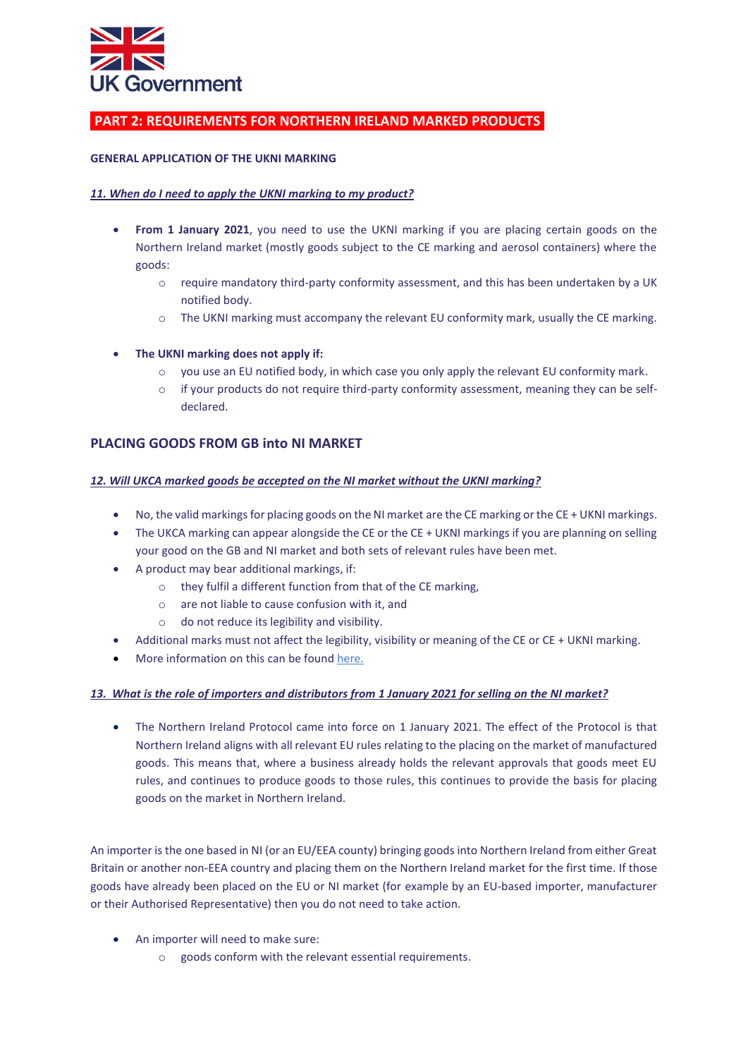

# **PART 2: REQUIREMENTS FOR NORTHERN IRELAND MARKED PRODUCTS**

#### **GENERAL APPLICATION OF THE UKNI MARKING**

#### *11. When do I need to apply the UKNI marking to my product?*

- **From 1 January 2021**, you need to use the UKNI marking if you are placing certain goods on the Northern Ireland market (mostly goods subject to the CE marking and aerosol containers) where the goods:
	- o require mandatory third-party conformity assessment, and this has been undertaken by a UK notified body.
	- $\circ$  The UKNI marking must accompany the relevant EU conformity mark, usually the CE marking.
- **The UKNI marking does not apply if:** 
	- you use an EU notified body, in which case you only apply the relevant EU conformity mark.
	- $\circ$  if your products do not require third-party conformity assessment, meaning they can be selfdeclared.

# **PLACING GOODS FROM GB into NI MARKET**

#### *12. Will UKCA marked goods be accepted on the NI market without the UKNI marking?*

- No, the valid markings for placing goods on the NI market are the CE marking or the CE + UKNI markings.
- The UKCA marking can appear alongside the CE or the CE + UKNI markings if you are planning on selling your good on the GB and NI market and both sets of relevant rules have been met.
- A product may bear additional markings, if:
	- o they fulfil a different function from that of the CE marking,
	- o are not liable to cause confusion with it, and
	- o do not reduce its legibility and visibility.
- Additional marks must not affect the legibility, visibility or meaning of the CE or CE + UKNI marking.
- More information on this can be foun[d here.](https://www.gov.uk/guidance/placing-manufactured-goods-on-the-market-in-northern-ireland?utm_campaign=transition_p5&utm_medium=organic&utm_source=ogd_beis_eml&utm_content=ukb_act1)

#### *13. What is the role of importers and distributors from 1 January 2021 for selling on the NI market?*

• The Northern Ireland Protocol came into force on 1 January 2021. The effect of the Protocol is that Northern Ireland aligns with all relevant EU rules relating to the placing on the market of manufactured goods. This means that, where a business already holds the relevant approvals that goods meet EU rules, and continues to produce goods to those rules, this continues to provide the basis for placing goods on the market in Northern Ireland.

An importer is the one based in NI (or an EU/EEA county) bringing goods into Northern Ireland from either Great Britain or another non-EEA country and placing them on the Northern Ireland market for the first time. If those goods have already been placed on the EU or NI market (for example by an EU-based importer, manufacturer or their Authorised Representative) then you do not need to take action.

- An importer will need to make sure:
	- o goods conform with the relevant essential requirements.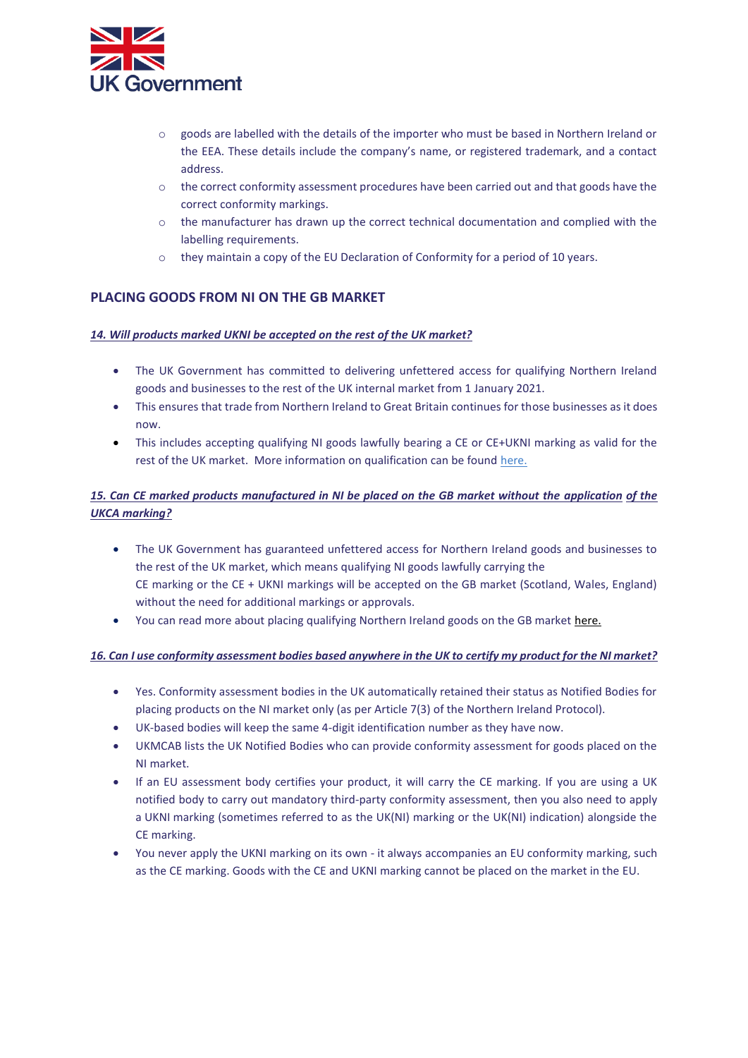

- $\circ$  goods are labelled with the details of the importer who must be based in Northern Ireland or the EEA. These details include the company's name, or registered trademark, and a contact address.
- $\circ$  the correct conformity assessment procedures have been carried out and that goods have the correct conformity markings.
- o the manufacturer has drawn up the correct technical documentation and complied with the labelling requirements.
- $\circ$  they maintain a copy of the EU Declaration of Conformity for a period of 10 years.

# **PLACING GOODS FROM NI ON THE GB MARKET**

#### *14. Will products marked UKNI be accepted on the rest of the UK market?*

- The UK Government has committed to delivering unfettered access for qualifying Northern Ireland goods and businesses to the rest of the UK internal market from 1 January 2021.
- This ensures that trade from Northern Ireland to Great Britain continues for those businesses as it does now.
- This includes accepting qualifying NI goods lawfully bearing a CE or CE+UKNI marking as valid for the rest of the UK market. More information on qualification can be found [here.](https://www.gov.uk/guidance/placing-manufactured-goods-on-the-market-in-northern-ireland?utm_campaign=transition_p5&utm_medium=organic&utm_source=ogd_beis_eml&utm_content=ukb_act1)

# 15. Can CE marked products manufactured in NI be placed on the GB market without the application of the *UKCA marking?*

- The UK Government has guaranteed unfettered access for Northern Ireland goods and businesses to the rest of the UK market, which means qualifying NI goods lawfully carrying the CE marking or the CE + UKNI markings will be accepted on the GB market (Scotland, Wales, England) without the need for additional markings or approvals.
- You can read more about placing qualifying Northern Ireland goods on the GB market [here.](https://www.gov.uk/guidance/placing-manufactured-goods-on-the-market-in-northern-ireland?utm_campaign=transition_p5&utm_medium=organic&utm_source=ogd_beis_eml&utm_content=ukb_act1)

#### *16. Can I use conformity assessment bodies based anywhere in the UK to certify my product for the NI market?*

- Yes. Conformity assessment bodies in the UK automatically retained their status as Notified Bodies for placing products on the NI market only (as per Article 7(3) of the Northern Ireland Protocol).
- UK-based bodies will keep the same 4-digit identification number as they have now.
- UKMCAB lists the UK Notified Bodies who can provide conformity assessment for goods placed on the NI market.
- If an EU assessment body certifies your product, it will carry the CE marking. If you are using a UK notified body to carry out mandatory third-party conformity assessment, then you also need to apply a UKNI marking (sometimes referred to as the UK(NI) marking or the UK(NI) indication) alongside the CE marking.
- You never apply the UKNI marking on its own it always accompanies an EU conformity marking, such as the CE marking. Goods with the CE and UKNI marking cannot be placed on the market in the EU.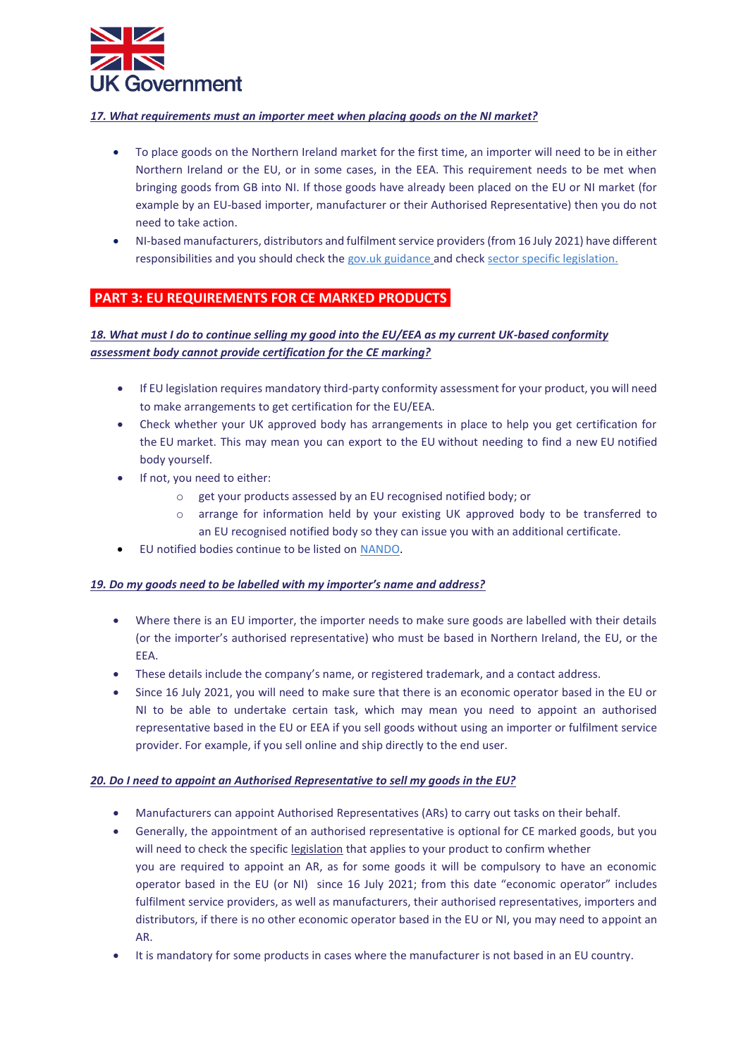

#### *17. What requirements must an importer meet when placing goods on the NI market?*

- To place goods on the Northern Ireland market for the first time, an importer will need to be in either Northern Ireland or the EU, or in some cases, in the EEA. This requirement needs to be met when bringing goods from GB into NI. If those goods have already been placed on the EU or NI market (for example by an EU-based importer, manufacturer or their Authorised Representative) then you do not need to take action.
- NI-based manufacturers, distributors and fulfilment service providers (from 16 July 2021) have different responsibilities and you should check the gov.uk guidance and check [sector specific legislation.](https://www.gov.uk/guidance/placing-manufactured-goods-on-the-market-in-northern-ireland?utm_campaign=transition_p5&utm_medium=organic&utm_source=ogd_beis_eml&utm_content=ukb_act1)

# **PART 3: EU REQUIREMENTS FOR CE MARKED PRODUCTS**

# *18. What must I do to continue selling my good into the EU/EEA as my current UK-based conformity assessment body cannot provide certification for the CE marking?*

- If EU legislation requires mandatory third-party conformity assessment for your product, you will need to make arrangements to get certification for the EU/EEA.
- Check whether your UK approved body has arrangements in place to help you get certification for the EU market. This may mean you can export to the EU without needing to find a new EU notified body yourself.
- If not, you need to either:
	- o get your products assessed by an EU recognised notified body; or
	- o arrange for information held by your existing UK approved body to be transferred to an EU recognised notified body so they can issue you with an additional certificate.
- EU notified bodies continue to be listed on [NANDO.](https://ec.europa.eu/growth/tools-databases/nando/index.cfm)

#### *19. Do my goods need to be labelled with my importer's name and address?*

- Where there is an EU importer, the importer needs to make sure goods are labelled with their details (or the importer's authorised representative) who must be based in Northern Ireland, the EU, or the EEA.
- These details include the company's name, or registered trademark, and a contact address.
- Since 16 July 2021, you will need to make sure that there is an economic operator based in the EU or NI to be able to undertake certain task, which may mean you need to appoint an authorised representative based in the EU or EEA if you sell goods without using an importer or fulfilment service provider. For example, if you sell online and ship directly to the end user.

#### *20. Do I need to appoint an Authorised Representative to sell my goods in the EU?*

- Manufacturers can appoint Authorised Representatives (ARs) to carry out tasks on their behalf.
- Generally, the appointment of an authorised representative is optional for CE marked goods, but you will need to check the specifi[c legislation](https://ec.europa.eu/growth/single-market/goods/new-legislative-framework_en) that applies to your product to confirm whether you are required to appoint an AR, as for some goods it will be compulsory to have an economic operator based in the EU (or NI) since 16 July 2021; from this date "economic operator" includes fulfilment service providers, as well as manufacturers, their authorised representatives, importers and distributors, if there is no other economic operator based in the EU or NI, you may need to appoint an AR.
- It is mandatory for some products in cases where the manufacturer is not based in an EU country.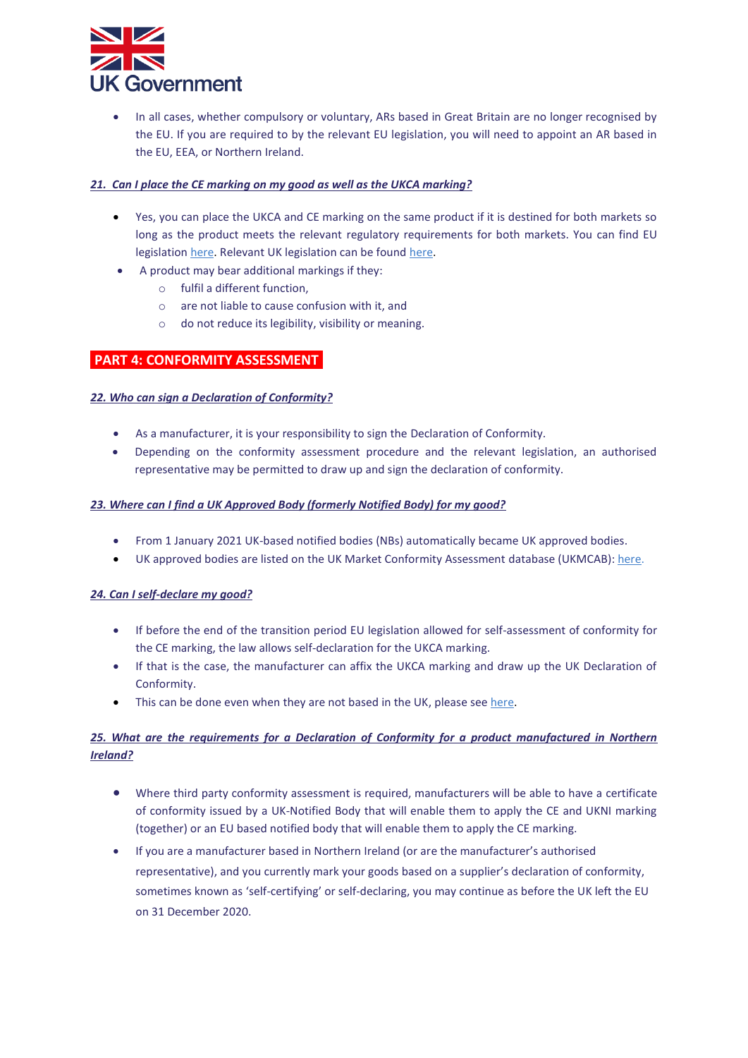

• In all cases, whether compulsory or voluntary, ARs based in Great Britain are no longer recognised by the EU. If you are required to by the relevant EU legislation, you will need to appoint an AR based in the EU, EEA, or Northern Ireland.

#### *21. Can I place the CE marking on my good as well as the UKCA marking?*

- Yes, you can place the UKCA and CE marking on the same product if it is destined for both markets so long as the product meets the relevant regulatory requirements for both markets. You can find EU legislatio[n here.](https://ec.europa.eu/growth/single-market/goods/new-legislative-framework_en) Relevant UK legislation can be found [here.](https://www.gov.uk/guidance/placing-manufactured-goods-on-the-market-in-great-britain#more-information)
- A product may bear additional markings if they:
	- o fulfil a different function,
	- o are not liable to cause confusion with it, and
	- o do not reduce its legibility, visibility or meaning.

#### **PART 4: CONFORMITY ASSESSMENT**

#### *22. Who can sign a Declaration of Conformity?*

- As a manufacturer, it is your responsibility to sign the Declaration of Conformity.
- Depending on the conformity assessment procedure and the relevant legislation, an authorised representative may be permitted to draw up and sign the declaration of conformity.

#### *23. Where can I find a UK Approved Body (formerly Notified Body) for my good?*

- From 1 January 2021 UK-based notified bodies (NBs) automatically became UK approved bodies.
- UK approved bodies are listed on the UK Market Conformity Assessment database (UKMCAB): [here.](https://www.gov.uk/uk-market-conformity-assessment-bodies?utm_campaign=transition_p5&utm_medium=organic&utm_source=ogd_beis_eml&utm_content=ukb_act1)

#### *24. Can I self-declare my good?*

- If before the end of the transition period EU legislation allowed for self-assessment of conformity for the CE marking, the law allows self-declaration for the UKCA marking.
- If that is the case, the manufacturer can affix the UKCA marking and draw up the UK Declaration of Conformity.
- This can be done even when they are not based in the UK, please see here.

# *25. What are the requirements for a Declaration of Conformity for a product manufactured in Northern Ireland?*

- Where third party conformity assessment is required, manufacturers will be able to have a certificate of conformity issued by a UK-Notified Body that will enable them to apply the CE and UKNI marking (together) or an EU based notified body that will enable them to apply the CE marking.
- If you are a manufacturer based in Northern Ireland (or are the manufacturer's authorised representative), and you currently mark your goods based on a supplier's declaration of conformity, sometimes known as 'self-certifying' or self-declaring, you may continue as before the UK left the EU on 31 December 2020.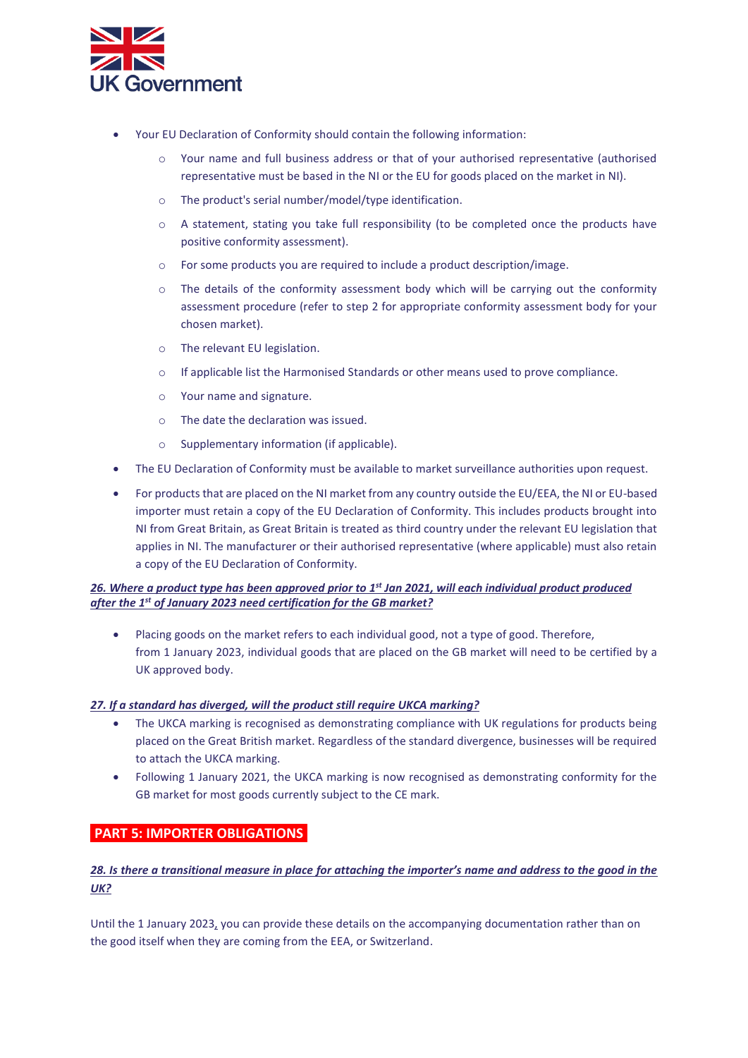

- Your EU Declaration of Conformity should contain the following information:
	- o Your name and full business address or that of your authorised representative (authorised representative must be based in the NI or the EU for goods placed on the market in NI).
	- o The product's serial number/model/type identification.
	- o A statement, stating you take full responsibility (to be completed once the products have positive conformity assessment).
	- o For some products you are required to include a product description/image.
	- $\circ$  The details of the conformity assessment body which will be carrying out the conformity assessment procedure (refer to step 2 for appropriate conformity assessment body for your chosen market).
	- o The relevant EU legislation.
	- If applicable list the Harmonised Standards or other means used to prove compliance.
	- o Your name and signature.
	- o The date the declaration was issued.
	- o Supplementary information (if applicable).
- The EU Declaration of Conformity must be available to market surveillance authorities upon request.
- For products that are placed on the NI market from any country outside the EU/EEA, the NI or EU-based importer must retain a copy of the EU Declaration of Conformity. This includes products brought into NI from Great Britain, as Great Britain is treated as third country under the relevant EU legislation that applies in NI. The manufacturer or their authorised representative (where applicable) must also retain a copy of the EU Declaration of Conformity.

#### *26. Where a product type has been approved prior to 1st Jan 2021, will each individual product produced after the 1st of January 2023 need certification for the GB market?*

• Placing goods on the market refers to each individual good, not a type of good. Therefore, from 1 January 2023, individual goods that are placed on the GB market will need to be certified by a UK approved body.

#### *27. If a standard has diverged, will the product still require UKCA marking?*

- The UKCA marking is recognised as demonstrating compliance with UK regulations for products being placed on the Great British market. Regardless of the standard divergence, businesses will be required to attach the UKCA marking.
- Following 1 January 2021, the UKCA marking is now recognised as demonstrating conformity for the GB market for most goods currently subject to the CE mark.

# **PART 5: IMPORTER OBLIGATIONS**

# *28. Is there a transitional measure in place for attaching the importer's name and address to the good in the UK?*

Until the 1 January 2023, you can provide these details on the accompanying documentation rather than on the good itself when they are coming from the EEA, or Switzerland.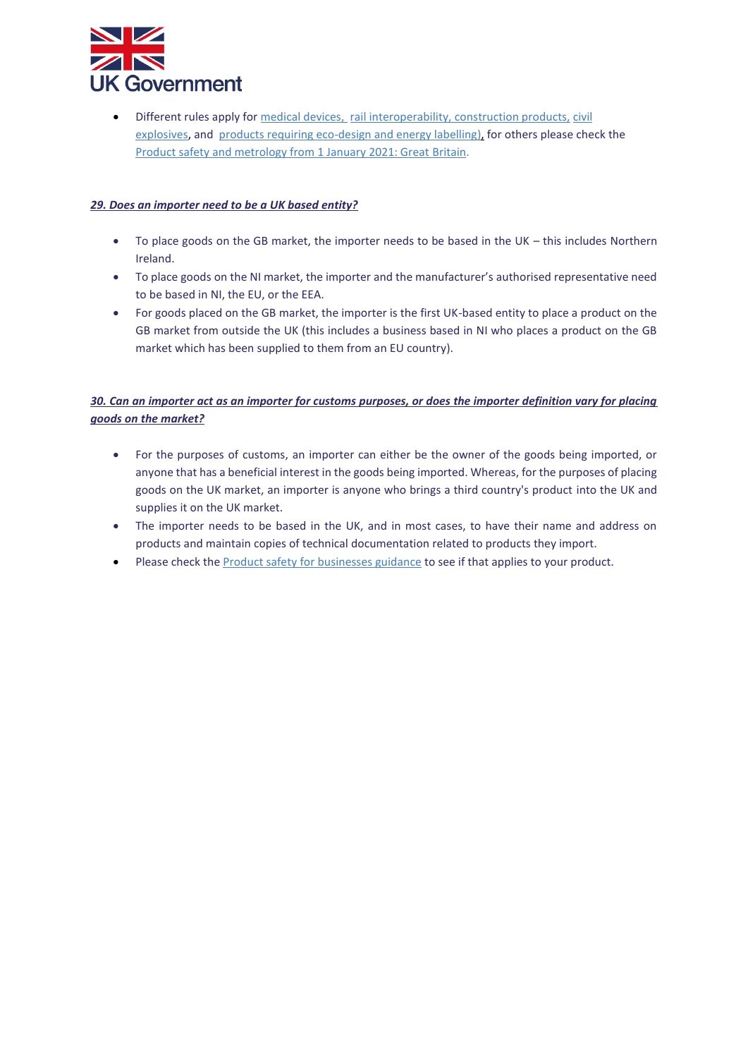

Different rules apply fo[r medical devices,](https://www.gov.uk/guidance/regulating-medical-devices-in-the-uk?utm_campaign=transition_p5&utm_medium=organic&utm_source=ogd_beis_eml&utm_content=ukb_act1) [rail interoperability,](https://www.gov.uk/guidance/rail-transport-domestic-and-cross-border-operations?utm_campaign=transition_p5&utm_medium=organic&utm_source=ogd_beis_eml&utm_content=ukb_act1#interoperability-constituents) [construction products,](https://www.gov.uk/guidance/construction-products-regulation-in-great-britain?utm_campaign=transition_p5&utm_medium=organic&utm_source=ogd_beis_eml&utm_content=ukb_act1) civil [explosives,](https://www.hse.gov.uk/brexit/regulating-explosives.htm) and [products requiring eco-design and energy labelling\),](https://www.gov.uk/guidance/placing-energy-related-products-on-the-uk-market?utm_campaign=transition_p5&utm_medium=organic&utm_source=ogd_beis_eml&utm_content=ukb_act1) for others please check the [Product safety and metrology from 1 January 2021: Great Britain.](https://www.gov.uk/guidance/product-safety-for-businesses-a-to-z-of-industry-guidance?utm_campaign=transition_p5&utm_medium=organic&utm_source=ogd_beis_eml&utm_content=ukb_act1)

#### *29. Does an importer need to be a UK based entity?*

- To place goods on the GB market, the importer needs to be based in the UK this includes Northern Ireland.
- To place goods on the NI market, the importer and the manufacturer's authorised representative need to be based in NI, the EU, or the EEA.
- For goods placed on the GB market, the importer is the first UK-based entity to place a product on the GB market from outside the UK (this includes a business based in NI who places a product on the GB market which has been supplied to them from an EU country).

# *30. Can an importer act as an importer for customs purposes, or does the importer definition vary for placing goods on the market?*

- For the purposes of customs, an importer can either be the owner of the goods being imported, or anyone that has a beneficial interest in the goods being imported. Whereas, for the purposes of placing goods on the UK market, an importer is anyone who brings a third country's product into the UK and supplies it on the UK market.
- The importer needs to be based in the UK, and in most cases, to have their name and address on products and maintain copies of technical documentation related to products they import.
- Please check the **Product safety for businesses guidance** to see if that applies to your product.